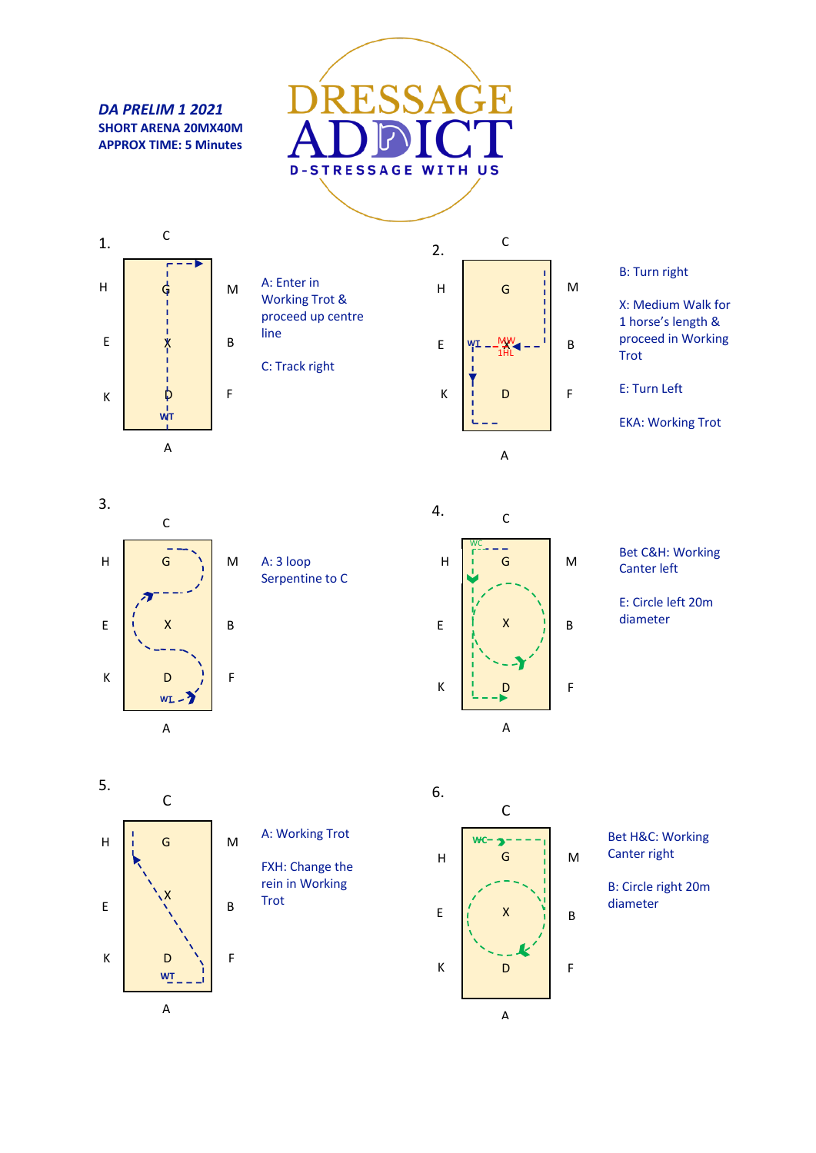*DA PRELIM 1 2021* **SHORT ARENA 20MX40M APPROX TIME: 5 Minutes**





A: Enter in Working Trot & proceed up centre line

C: Track right



## B: Turn right

X: Medium Walk for 1 horse's length & proceed in Working Trot

E: Turn Left

EKA: Working Trot



A: 3 loop Serpentine to C



Bet C&H: Working Canter left

E: Circle left 20m diameter





FXH: Change the rein in Working Trot



Bet H&C: Working Canter right

B: Circle right 20m diameter